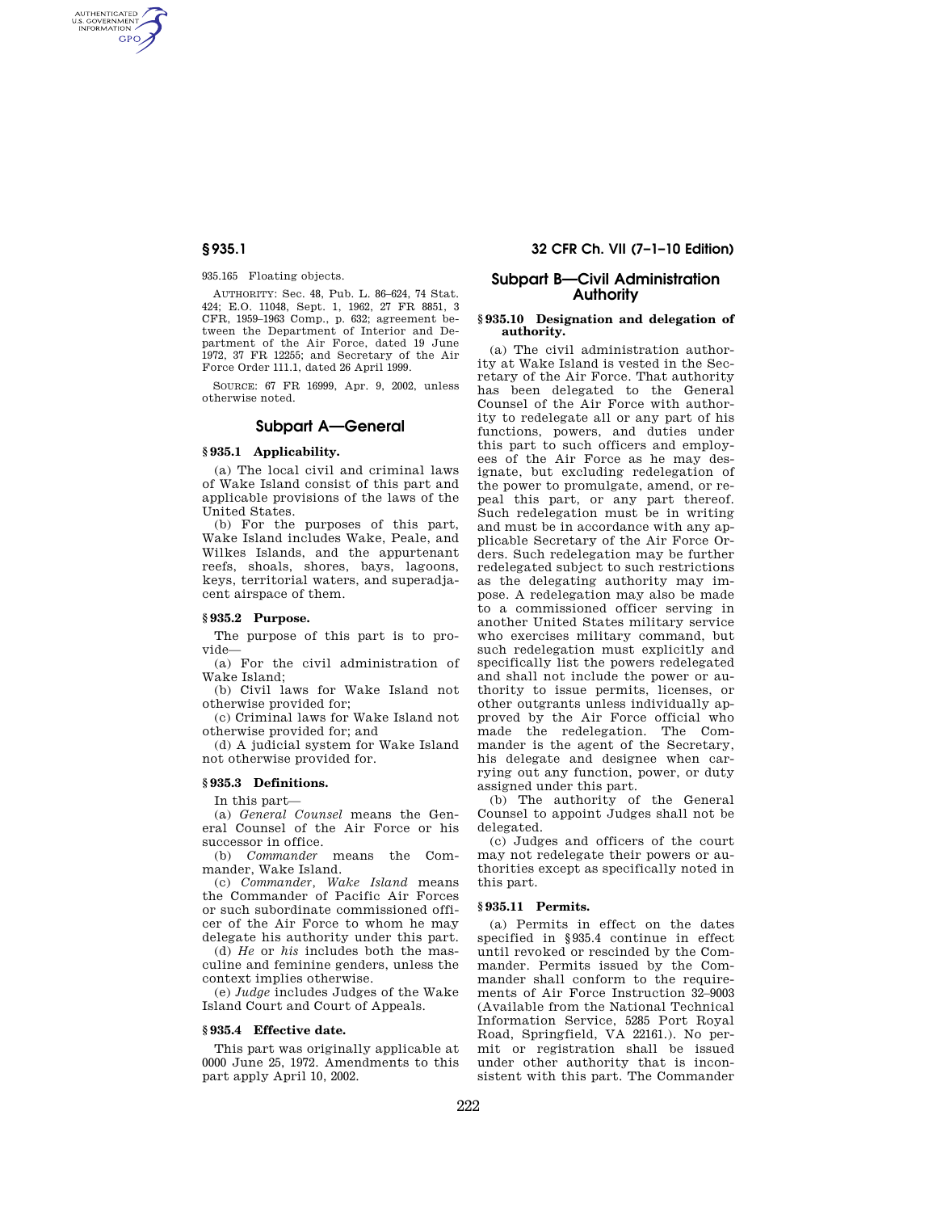AUTHENTICATED<br>U.S. GOVERNMENT<br>INFORMATION **GPO** 

935.165 Floating objects.

AUTHORITY: Sec. 48, Pub. L. 86–624, 74 Stat. 424; E.O. 11048, Sept. 1, 1962, 27 FR 8851, 3 CFR, 1959–1963 Comp., p. 632; agreement between the Department of Interior and Department of the Air Force, dated 19 June 1972, 37 FR 12255; and Secretary of the Air Force Order 111.1, dated 26 April 1999.

SOURCE: 67 FR 16999, Apr. 9, 2002, unless otherwise noted.

## **Subpart A—General**

## **§ 935.1 Applicability.**

(a) The local civil and criminal laws of Wake Island consist of this part and applicable provisions of the laws of the United States.

(b) For the purposes of this part, Wake Island includes Wake, Peale, and Wilkes Islands, and the appurtenant reefs, shoals, shores, bays, lagoons, keys, territorial waters, and superadjacent airspace of them.

### **§ 935.2 Purpose.**

The purpose of this part is to provide—

(a) For the civil administration of Wake Island;

(b) Civil laws for Wake Island not otherwise provided for;

(c) Criminal laws for Wake Island not otherwise provided for; and

(d) A judicial system for Wake Island not otherwise provided for.

## **§ 935.3 Definitions.**

In this part—

(a) *General Counsel* means the General Counsel of the Air Force or his successor in office.

(b) *Commander* means the Commander, Wake Island.

(c) *Commander, Wake Island* means the Commander of Pacific Air Forces or such subordinate commissioned officer of the Air Force to whom he may delegate his authority under this part.

(d) *He* or *his* includes both the masculine and feminine genders, unless the context implies otherwise.

(e) *Judge* includes Judges of the Wake Island Court and Court of Appeals.

#### **§ 935.4 Effective date.**

This part was originally applicable at 0000 June 25, 1972. Amendments to this part apply April 10, 2002.

## **§ 935.1 32 CFR Ch. VII (7–1–10 Edition)**

## **Subpart B—Civil Administration Authority**

#### **§ 935.10 Designation and delegation of authority.**

(a) The civil administration authority at Wake Island is vested in the Secretary of the Air Force. That authority has been delegated to the General Counsel of the Air Force with authority to redelegate all or any part of his functions, powers, and duties under this part to such officers and employees of the Air Force as he may designate, but excluding redelegation of the power to promulgate, amend, or repeal this part, or any part thereof. Such redelegation must be in writing and must be in accordance with any applicable Secretary of the Air Force Orders. Such redelegation may be further redelegated subject to such restrictions as the delegating authority may impose. A redelegation may also be made to a commissioned officer serving in another United States military service who exercises military command, but such redelegation must explicitly and specifically list the powers redelegated and shall not include the power or authority to issue permits, licenses, or other outgrants unless individually approved by the Air Force official who made the redelegation. The Commander is the agent of the Secretary, his delegate and designee when carrying out any function, power, or duty assigned under this part.

(b) The authority of the General Counsel to appoint Judges shall not be delegated.

(c) Judges and officers of the court may not redelegate their powers or authorities except as specifically noted in this part.

#### **§ 935.11 Permits.**

(a) Permits in effect on the dates specified in §935.4 continue in effect until revoked or rescinded by the Commander. Permits issued by the Commander shall conform to the requirements of Air Force Instruction 32–9003 (Available from the National Technical Information Service, 5285 Port Royal Road, Springfield, VA 22161.). No permit or registration shall be issued under other authority that is inconsistent with this part. The Commander